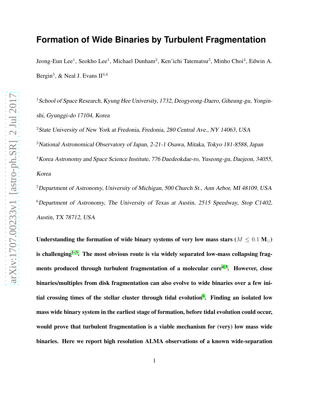# **Formation of Wide Binaries by Turbulent Fragmentation**

Jeong-Eun Lee<sup>1</sup>, Seokho Lee<sup>1</sup>, Michael Dunham<sup>2</sup>, Ken'ichi Tatematsu<sup>3</sup>, Minho Choi<sup>4</sup>, Edwin A. Bergin<sup>5</sup>, & Neal J. Evans II<sup>4,6</sup>

<sup>1</sup> School of Space Research, Kyung Hee University, 1732, Deogyeong-Daero, Giheung-gu, Yonginshi, Gyunggi-do 17104, Korea

<sup>2</sup>State University of New York at Fredonia, Fredonia, 280 Central Ave., NY 14063, USA <sup>3</sup>National Astronomical Observatory of Japan, 2-21-1 Osawa, Mitaka, Tokyo 181-8588, Japan  $4$ Korea Astronomy and Space Science Institute, 776 Daedeokdae-ro, Yuseong-gu, Daejeon, 34055, Korea

<sup>5</sup>Department of Astronomy, University of Michigan, <sup>500</sup> Church St., Ann Arbor, MI 48109, USA  $6$ Department of Astronomy, The University of Texas at Austin, 2515 Speedway, Stop C1402, Austin, TX 78712, USA

Understanding the formation of wide binary systems of very low mass stars ( $M \leq 0.1$  M<sub>☉</sub>) is challenging<sup>[1](#page-11-0)-3</sup>. The most obvious route is via widely separated low-mass collapsing frag-ments produced through turbulent fragmentation of a molecular core<sup>[4,](#page-11-2)5</sup>. However, close binaries/multiples from disk fragmentation can also evolve to wide binaries over a few ini-tial crossing times of the stellar cluster through tidal evolution<sup>[6](#page-11-4)</sup>. Finding an isolated low mass wide binary system in the earliest stage of formation, before tidal evolution could occur, would prove that turbulent fragmentation is a viable mechanism for (very) low mass wide binaries. Here we report high resolution ALMA observations of a known wide-separation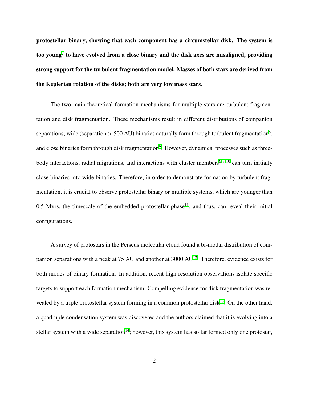protostellar binary, showing that each component has a circumstellar disk. The system is too young ${}^{7}$  ${}^{7}$  ${}^{7}$  to have evolved from a close binary and the disk axes are misaligned, providing strong support for the turbulent fragmentation model. Masses of both stars are derived from the Keplerian rotation of the disks; both are very low mass stars.

The two main theoretical formation mechanisms for multiple stars are turbulent fragmentation and disk fragmentation. These mechanisms result in different distributions of companion separations; wide (separation  $> 500$  AU) binaries naturally form through turbulent fragmentation<sup>[8](#page-12-1)</sup>, and close binaries form through disk fragmentation<sup>[9](#page-12-2)</sup>. However, dynamical processes such as three-body interactions, radial migrations, and interactions with cluster members<sup>[6,](#page-11-4)8,10</sup> can turn initially close binaries into wide binaries. Therefore, in order to demonstrate formation by turbulent fragmentation, it is crucial to observe protostellar binary or multiple systems, which are younger than 0.5 Myrs, the timescale of the embedded protostellar phase<sup>[11](#page-12-4)</sup>, and thus, can reveal their initial configurations.

A survey of protostars in the Perseus molecular cloud found a bi-modal distribution of com-panion separations with a peak at 75 AU and another at 3000 AU<sup>[12](#page-12-5)</sup>. Therefore, evidence exists for both modes of binary formation. In addition, recent high resolution observations isolate specific targets to support each formation mechanism. Compelling evidence for disk fragmentation was re-vealed by a triple protostellar system forming in a common protostellar disk<sup>[13](#page-12-6)</sup>. On the other hand, a quadruple condensation system was discovered and the authors claimed that it is evolving into a stellar system with a wide separation<sup>[14](#page-12-7)</sup>; however, this system has so far formed only one protostar,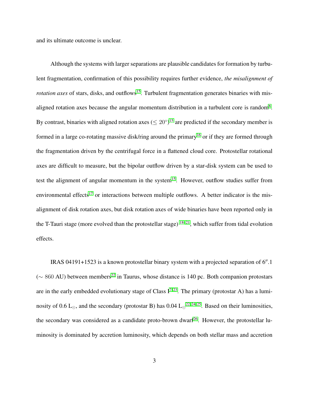and its ultimate outcome is unclear.

Although the systems with larger separations are plausible candidates for formation by turbulent fragmentation, confirmation of this possibility requires further evidence, *the misalignment of rotation axes* of stars, disks, and outflows<sup>[15](#page-13-0)</sup>. Turbulent fragmentation generates binaries with misaligned rotation axes because the angular momentum distribution in a turbulent core is random $8$ . By contrast, binaries with aligned rotation axes ( $\leq 20^{\circ}$ )<sup>[15](#page-13-0)</sup> are predicted if the secondary member is formed in a large co-rotating massive disk/ring around the primary<sup>[16](#page-13-1)</sup> or if they are formed through the fragmentation driven by the centrifugal force in a flattened cloud core. Protostellar rotational axes are difficult to measure, but the bipolar outflow driven by a star-disk system can be used to test the alignment of angular momentum in the system<sup>[15](#page-13-0)</sup>. However, outflow studies suffer from environmental effects<sup>[17](#page-13-2)</sup> or interactions between multiple outflows. A better indicator is the misalignment of disk rotation axes, but disk rotation axes of wide binaries have been reported only in the T-Tauri stage (more evolved than the protostellar stage) <sup>[18](#page-13-3)[–21](#page-13-4)</sup>, which suffer from tidal evolution effects.

IRAS 04191+1523 is a known protostellar binary system with a projected separation of 6′′.1  $(\sim 860 \text{ AU})$  between members<sup>[22](#page-13-5)</sup> in Taurus, whose distance is 140 pc. Both companion protostars are in the early embedded evolutionary stage of Class  $I^{7,23}$  $I^{7,23}$  $I^{7,23}$ . The primary (protostar A) has a lumi-nosity of 0.6 L<sub>☉</sub>, and the secondary (protostar B) has 0.04 L<sub>☉</sub><sup>[22,](#page-13-5) [24,](#page-14-1) [25](#page-14-2)</sup>. Based on their luminosities, the secondary was considered as a candidate proto-brown dwarf<sup>[26](#page-14-3)</sup>. However, the protostellar luminosity is dominated by accretion luminosity, which depends on both stellar mass and accretion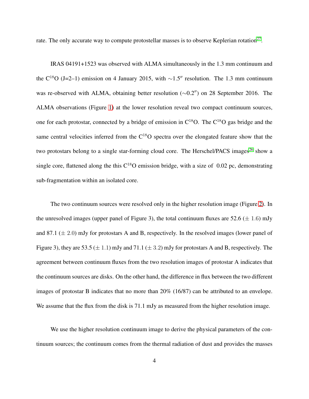rate. The only accurate way to compute protostellar masses is to observe Keplerian rotation<sup>[27](#page-14-4)</sup>.

IRAS 04191+1523 was observed with ALMA simultaneously in the 1.3 mm continuum and the C<sup>18</sup>O (J=2–1) emission on 4 January 2015, with ∼1.5″ resolution. The 1.3 mm continuum was re-observed with ALMA, obtaining better resolution (∼0.2′′) on 28 September 2016. The ALMA observations (Figure [1\)](#page-17-0) at the lower resolution reveal two compact continuum sources, one for each protostar, connected by a bridge of emission in  $C^{18}O$ . The  $C^{18}O$  gas bridge and the same central velocities inferred from the  $C^{18}O$  spectra over the elongated feature show that the two protostars belong to a single star-forming cloud core. The Herschel/PACS images<sup>[26](#page-14-3)</sup> show a single core, flattened along the this  $C^{18}O$  emission bridge, with a size of 0.02 pc, demonstrating sub-fragmentation within an isolated core.

The two continuum sources were resolved only in the higher resolution image (Figure [2\)](#page-18-0). In the unresolved images (upper panel of Figure 3), the total continuum fluxes are  $52.6 \ (\pm 1.6)$  mJy and 87.1  $(\pm 2.0)$  mJy for protostars A and B, respectively. In the resolved images (lower panel of Figure 3), they are 53.5 ( $\pm$  1.1) mJy and 71.1 ( $\pm$  3.2) mJy for protostars A and B, respectively. The agreement between continuum fluxes from the two resolution images of protostar A indicates that the continuum sources are disks. On the other hand, the difference in flux between the two different images of protostar B indicates that no more than 20% (16/87) can be attributed to an envelope. We assume that the flux from the disk is 71.1 mJy as measured from the higher resolution image.

We use the higher resolution continuum image to derive the physical parameters of the continuum sources; the continuum comes from the thermal radiation of dust and provides the masses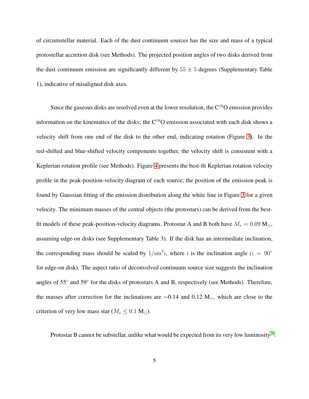of circumstellar material. Each of the dust continuum sources has the size and mass of a typical protostellar accretion disk (see Methods). The projected position angles of two disks derived from the dust continuum emission are significantly different by  $55 \pm 5$  degrees (Supplementary Table 1), indicative of misaligned disk axes.

Since the gaseous disks are resolved even at the lower resolution, the  $C^{18}O$  emission provides information on the kinematics of the disks; the  $C^{18}O$  emission associated with each disk shows a velocity shift from one end of the disk to the other end, indicating rotation (Figure [3\)](#page-19-0). In the red-shifted and blue-shifted velocity components together, the velocity shift is consistent with a Keplerian rotation profile (see Methods). Figure [4](#page-20-0) presents the best-fit Keplerian rotation velocity profile in the peak-position-velocity diagram of each source; the position of the emission peak is found by Gaussian fitting of the emission distribution along the white line in Figure [3](#page-19-0) for a given velocity. The minimum masses of the central objects (the protostars) can be derived from the bestfit models of these peak-position-velocity diagrams. Protostar A and B both have  $M_* = 0.09 \text{ M}_\odot$ , assuming edge-on disks (see Supplementary Table 3). If the disk has an intermediate inclination, the corresponding mass should be scaled by  $1/\sin^2 i$ , where i is the inclination angle (i = 90° for edge-on disk). The aspect ratio of deconvolved continuum source size suggests the inclination angles of 55° and 59° for the disks of protostars A and B, respectively (see Methods). Therefore, the masses after correction for the inclinations are  $\sim$ 0.14 and 0.12 M<sub>☉</sub>, which are close to the criterion of very low mass star ( $M_* \leq 0.1$  M<sub>☉</sub>).

Protostar B cannot be substellar, unlike what would be expected from its very low luminosity<sup>[26](#page-14-3)</sup>.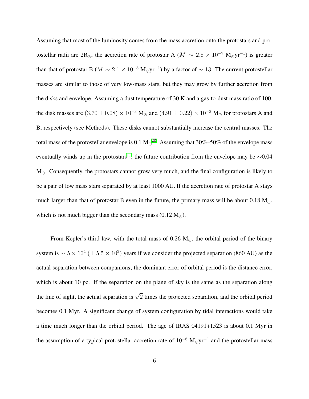Assuming that most of the luminosity comes from the mass accretion onto the protostars and protostellar radii are 2R<sub>☉</sub>, the accretion rate of protostar A ( $\dot{M} \sim 2.8 \times 10^{-7}$  M<sub>☉</sub>yr<sup>-1</sup>) is greater than that of protostar B ( $\dot{M} \sim 2.1 \times 10^{-8}$  M<sub>☉</sub>yr<sup>-1</sup>) by a factor of  $\sim 13$ . The current protostellar masses are similar to those of very low-mass stars, but they may grow by further accretion from the disks and envelope. Assuming a dust temperature of 30 K and a gas-to-dust mass ratio of 100, the disk masses are  $(3.70 \pm 0.08) \times 10^{-3}$  M<sub>☉</sub> and  $(4.91 \pm 0.22) \times 10^{-3}$  M<sub>☉</sub> for protostars A and B, respectively (see Methods). These disks cannot substantially increase the central masses. The total mass of the protostellar envelope is 0.1  $M_{\odot}^{28}$  $M_{\odot}^{28}$  $M_{\odot}^{28}$ . Assuming that 30%–50% of the envelope mass eventually winds up in the protostars<sup>[11](#page-12-4)</sup>, the future contribution from the envelope may be  $\sim$ 0.04  $M_{\odot}$ . Consequently, the protostars cannot grow very much, and the final configuration is likely to be a pair of low mass stars separated by at least 1000 AU. If the accretion rate of protostar A stays much larger than that of protostar B even in the future, the primary mass will be about 0.18 M<sub>☉</sub>, which is not much bigger than the secondary mass (0.12 M<sub>☉</sub>).

From Kepler's third law, with the total mass of 0.26  $M_{\odot}$ , the orbital period of the binary system is  $\sim 5 \times 10^4 \ (\pm 5.5 \times 10^3)$  years if we consider the projected separation (860 AU) as the actual separation between companions; the dominant error of orbital period is the distance error, which is about 10 pc. If the separation on the plane of sky is the same as the separation along the line of sight, the actual separation is  $\sqrt{2}$  times the projected separation, and the orbital period becomes 0.1 Myr. A significant change of system configuration by tidal interactions would take a time much longer than the orbital period. The age of IRAS 04191+1523 is about 0.1 Myr in the assumption of a typical protostellar accretion rate of  $10^{-6}$  M<sub>⊙</sub>yr<sup>-1</sup> and the protostellar mass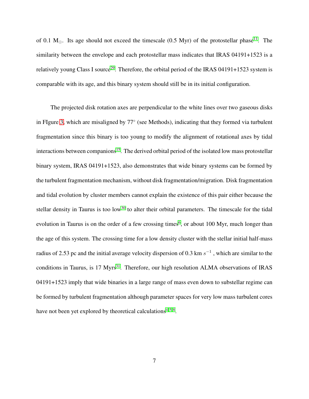of 0.1 M<sub> $\odot$ </sub>. Its age should not exceed the timescale (0.5 Myr) of the protostellar phase<sup>[11](#page-12-4)</sup>. The similarity between the envelope and each protostellar mass indicates that IRAS 04191+1523 is a relatively young Class I source<sup>[29](#page-14-6)</sup>. Therefore, the orbital period of the IRAS 04191+1523 system is comparable with its age, and this binary system should still be in its initial configuration.

The projected disk rotation axes are perpendicular to the white lines over two gaseous disks in FIgure [3,](#page-19-0) which are misaligned by 77◦ (see Methods), indicating that they formed via turbulent fragmentation since this binary is too young to modify the alignment of rotational axes by tidal interactions between companions<sup>[15](#page-13-0)</sup>. The derived orbital period of the isolated low mass protostellar binary system, IRAS 04191+1523, also demonstrates that wide binary systems can be formed by the turbulent fragmentation mechanism, without disk fragmentation/migration. Disk fragmentation and tidal evolution by cluster members cannot explain the existence of this pair either because the stellar density in Taurus is too low<sup>[30](#page-14-7)</sup> to alter their orbital parameters. The timescale for the tidal evolution in Taurus is on the order of a few crossing times<sup>[6](#page-11-4)</sup>, or about 100 Myr, much longer than the age of this system. The crossing time for a low density cluster with the stellar initial half-mass radius of 2.53 pc and the initial average velocity dispersion of 0.3 km  $s^{-1}$ , which are similar to the conditions in Taurus, is  $17 \text{ Myrs}^{31}$  $17 \text{ Myrs}^{31}$  $17 \text{ Myrs}^{31}$ . Therefore, our high resolution ALMA observations of IRAS 04191+1523 imply that wide binaries in a large range of mass even down to substellar regime can be formed by turbulent fragmentation although parameter spaces for very low mass turbulent cores have not been yet explored by theoretical calculations<sup>[4,](#page-11-2)5,8</sup>.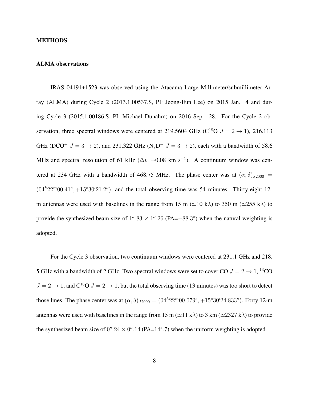#### METHODS

### ALMA observations

IRAS 04191+1523 was observed using the Atacama Large Millimeter/submillimeter Array (ALMA) during Cycle 2 (2013.1.00537.S, PI: Jeong-Eun Lee) on 2015 Jan. 4 and during Cycle 3 (2015.1.00186.S, PI: Michael Dunahm) on 2016 Sep. 28. For the Cycle 2 observation, three spectral windows were centered at 219.5604 GHz ( $C^{18}O$   $J = 2 \rightarrow 1$ ), 216.113 GHz (DCO<sup>+</sup>  $J = 3 \rightarrow 2$ ), and 231.322 GHz (N<sub>2</sub>D<sup>+</sup>  $J = 3 \rightarrow 2$ ), each with a bandwidth of 58.6 MHz and spectral resolution of 61 kHz ( $\Delta v \sim 0.08$  km s<sup>-1</sup>). A continuum window was centered at 234 GHz with a bandwidth of 468.75 MHz. The phase center was at  $(\alpha, \delta)_{J2000}$  =  $(04^h22^m00.41^s, +15°30'21.2'')$ , and the total observing time was 54 minutes. Thirty-eight 12m antennas were used with baselines in the range from 15 m ( $\simeq$ 10 k $\lambda$ ) to 350 m ( $\simeq$ 255 k $\lambda$ ) to provide the synthesized beam size of  $1''.83 \times 1''.26$  (PA= $-88.3^{\circ}$ ) when the natural weighting is adopted.

For the Cycle 3 observation, two continuum windows were centered at 231.1 GHz and 218. 5 GHz with a bandwidth of 2 GHz. Two spectral windows were set to cover CO  $J = 2 \rightarrow 1,{}^{13}$ CO  $J = 2 \rightarrow 1$ , and  $C^{18}O J = 2 \rightarrow 1$ , but the total observing time (13 minutes) was too short to detect those lines. The phase center was at  $(\alpha, \delta)_{J2000} = (0.4h^2 2m^2 0.079s^2, +15°30'24.833'')$ . Forty 12-m antennas were used with baselines in the range from 15 m ( $\simeq$ 11 k $\lambda$ ) to 3 km ( $\simeq$ 2327 k $\lambda$ ) to provide the synthesized beam size of  $0''.24 \times 0''.14$  (PA=14°.7) when the uniform weighting is adopted.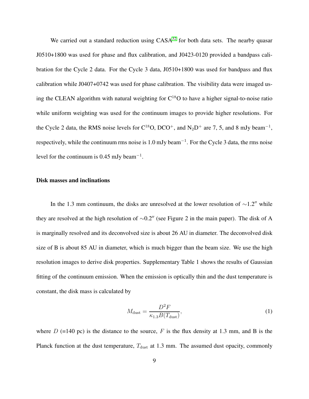We carried out a standard reduction using  $CASA^{32}$  $CASA^{32}$  $CASA^{32}$  for both data sets. The nearby quasar J0510+1800 was used for phase and flux calibration, and J0423-0120 provided a bandpass calibration for the Cycle 2 data. For the Cycle 3 data, J0510+1800 was used for bandpass and flux calibration while J0407+0742 was used for phase calibration. The visibility data were imaged using the CLEAN algorithm with natural weighting for  $C^{18}O$  to have a higher signal-to-noise ratio while uniform weighting was used for the continuum images to provide higher resolutions. For the Cycle 2 data, the RMS noise levels for  $C^{18}O$ , DCO<sup>+</sup>, and N<sub>2</sub>D<sup>+</sup> are 7, 5, and 8 mJy beam<sup>-1</sup>, respectively, while the continuum rms noise is 1.0 mJy beam<sup>-1</sup>. For the Cycle 3 data, the rms noise level for the continuum is 0.45 mJy beam<sup>-1</sup>.

## Disk masses and inclinations

In the 1.3 mm continuum, the disks are unresolved at the lower resolution of  $\sim$ 1.2″ while they are resolved at the high resolution of <sup>∼</sup>0.2′′ (see Figure 2 in the main paper). The disk of A is marginally resolved and its deconvolved size is about 26 AU in diameter. The deconvolved disk size of B is about 85 AU in diameter, which is much bigger than the beam size. We use the high resolution images to derive disk properties. Supplementary Table 1 shows the results of Gaussian fitting of the continuum emission. When the emission is optically thin and the dust temperature is constant, the disk mass is calculated by

$$
M_{\text{dust}} = \frac{D^2 F}{\kappa_{1.3} B(T_{\text{dust}})},\tag{1}
$$

where D (=140 pc) is the distance to the source, F is the flux density at 1.3 mm, and B is the Planck function at the dust temperature,  $T_{\text{dust}}$  at 1.3 mm. The assumed dust opacity, commonly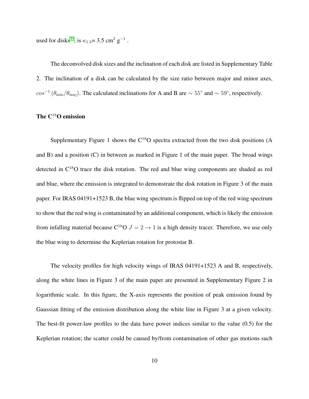used for disks<sup>[33](#page-15-2)</sup>, is  $\kappa_{1.3} = 3.5 \text{ cm}^2 \text{ g}^{-1}$ .

The deconvolved disk sizes and the inclination of each disk are listed in Supplementary Table 2. The inclination of a disk can be calculated by the size ratio between major and minor axes,  $cos^{-1}(\theta_{min}/\theta_{maj})$ . The calculated inclinations for A and B are  $\sim 55^{\circ}$  and  $\sim 59^{\circ}$ , respectively.

## The C<sup>18</sup>O emission

Supplementary Figure 1 shows the  $C^{18}O$  spectra extracted from the two disk positions (A and B) and a position (C) in between as marked in Figure 1 of the main paper. The broad wings detected in  $C^{18}O$  trace the disk rotation. The red and blue wing components are shaded as red and blue, where the emission is integrated to demonstrate the disk rotation in Figure 3 of the main paper. For IRAS 04191+1523 B, the blue wing spectrum is flipped on top of the red wing spectrum to show that the red wing is contaminated by an additional component, which is likely the emission from infalling material because  $C^{18}O J = 2 \rightarrow 1$  is a high density tracer. Therefore, we use only the blue wing to determine the Keplerian rotation for protostar B.

The velocity profiles for high velocity wings of IRAS 04191+1523 A and B, respectively, along the white lines in Figure 3 of the main paper are presented in Supplementary Figure 2 in logarithmic scale. In this figure, the X-axis represents the position of peak emission found by Gaussian fitting of the emission distribution along the white line in Figure 3 at a given velocity. The best-fit power-law profiles to the data have power indices similar to the value (0.5) for the Keplerian rotation; the scatter could be caused by/from contamination of other gas motions such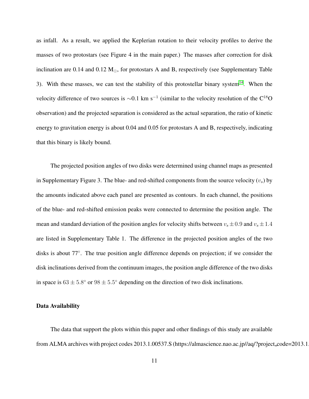as infall. As a result, we applied the Keplerian rotation to their velocity profiles to derive the masses of two protostars (see Figure 4 in the main paper.) The masses after correction for disk inclination are 0.14 and 0.12  $M_{\odot}$ , for protostars A and B, respectively (see Supplementary Table 3). With these masses, we can test the stability of this protostellar binary system<sup>[14](#page-12-7)</sup>. When the velocity difference of two sources is  $\sim 0.1$  km s<sup>-1</sup> (similar to the velocity resolution of the C<sup>18</sup>O observation) and the projected separation is considered as the actual separation, the ratio of kinetic energy to gravitation energy is about 0.04 and 0.05 for protostars A and B, respectively, indicating that this binary is likely bound.

The projected position angles of two disks were determined using channel maps as presented in Supplementary Figure 3. The blue- and red-shifted components from the source velocity  $(v<sub>s</sub>)$  by the amounts indicated above each panel are presented as contours. In each channel, the positions of the blue- and red-shifted emission peaks were connected to determine the position angle. The mean and standard deviation of the position angles for velocity shifts between  $v_s \pm 0.9$  and  $v_s \pm 1.4$ are listed in Supplementary Table 1. The difference in the projected position angles of the two disks is about 77◦ . The true position angle difference depends on projection; if we consider the disk inclinations derived from the continuum images, the position angle difference of the two disks in space is  $63 \pm 5.8^{\circ}$  or  $98 \pm 5.5^{\circ}$  depending on the direction of two disk inclinations.

### Data Availability

The data that support the plots within this paper and other findings of this study are available from ALMA archives with project codes 2013.1.00537.S (https://almascience.nao.ac.jp//aq/?project\_code=2013.1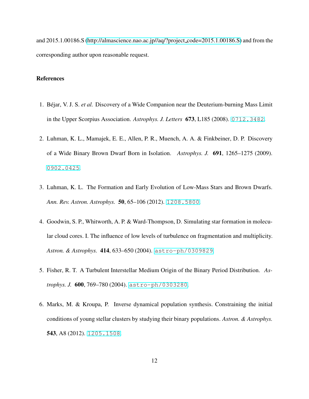and 2015.1.00186.S [\(http://almascience.nao.ac.jp//aq/?project](http://almascience.nao.ac.jp//aq/?project_code=2015.1.00186.S) code=2015.1.00186.S) and from the corresponding author upon reasonable request.

## <span id="page-11-0"></span>References

- 1. B´ejar, V. J. S. *et al.* Discovery of a Wide Companion near the Deuterium-burning Mass Limit in the Upper Scorpius Association. *Astrophys. J. Letters* 673, L185 (2008). <0712.3482>.
- <span id="page-11-1"></span>2. Luhman, K. L., Mamajek, E. E., Allen, P. R., Muench, A. A. & Finkbeiner, D. P. Discovery of a Wide Binary Brown Dwarf Born in Isolation. *Astrophys. J.* 691, 1265–1275 (2009). <0902.0425>.
- <span id="page-11-2"></span>3. Luhman, K. L. The Formation and Early Evolution of Low-Mass Stars and Brown Dwarfs. *Ann. Rev. Astron. Astrophys.* 50, 65–106 (2012). <1208.5800>.
- 4. Goodwin, S. P., Whitworth, A. P. & Ward-Thompson, D. Simulating star formation in molecular cloud cores. I. The influence of low levels of turbulence on fragmentation and multiplicity. *Astron. & Astrophys.* 414, 633–650 (2004). <astro-ph/0309829>.
- <span id="page-11-4"></span><span id="page-11-3"></span>5. Fisher, R. T. A Turbulent Interstellar Medium Origin of the Binary Period Distribution. *Astrophys. J.* 600, 769–780 (2004). <astro-ph/0303280>.
- 6. Marks, M. & Kroupa, P. Inverse dynamical population synthesis. Constraining the initial conditions of young stellar clusters by studying their binary populations. *Astron. & Astrophys.* 543, A8 (2012). <1205.1508>.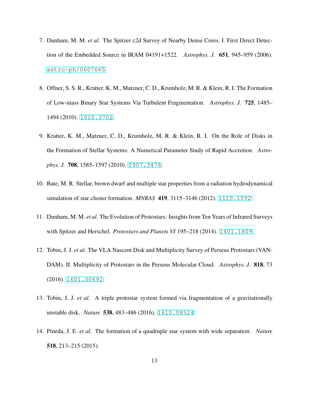- <span id="page-12-1"></span><span id="page-12-0"></span>7. Dunham, M. M. *et al.* The Spitzer c2d Survey of Nearby Dense Cores. I. First Direct Detection of the Embedded Source in IRAM 04191+1522. *Astrophys. J.* 651, 945–959 (2006). <astro-ph/0607665>.
- <span id="page-12-2"></span>8. Offner, S. S. R., Kratter, K. M., Matzner, C. D., Krumholz, M. R. & Klein, R. I. The Formation of Low-mass Binary Star Systems Via Turbulent Fragmentation. *Astrophys. J.* 725, 1485– 1494 (2010). <1010.3702>.
- <span id="page-12-3"></span>9. Kratter, K. M., Matzner, C. D., Krumholz, M. R. & Klein, R. I. On the Role of Disks in the Formation of Stellar Systems: A Numerical Parameter Study of Rapid Accretion. *Astrophys. J.* 708, 1585–1597 (2010). <0907.3476>.
- <span id="page-12-4"></span>10. Bate, M. R. Stellar, brown dwarf and multiple star properties from a radiation hydrodynamical simulation of star cluster formation. *MNRAS* 419, 3115–3146 (2012). <1110.1092>.
- <span id="page-12-5"></span>11. Dunham, M. M. *et al.* The Evolution of Protostars: Insights from Ten Years of Infrared Surveys with Spitzer and Herschel. *Protostars and Planets VI* 195–218 (2014). <1401.1809>.
- <span id="page-12-6"></span>12. Tobin, J. J. *et al.* The VLA Nascent Disk and Multiplicity Survey of Perseus Protostars (VAN-DAM). II. Multiplicity of Protostars in the Perseus Molecular Cloud. *Astrophys. J.* 818, 73 (2016). <1601.00692>.
- <span id="page-12-7"></span>13. Tobin, J. J. *et al.* A triple protostar system formed via fragmentation of a gravitationally unstable disk. *Nature* 538, 483–486 (2016). <1610.08524>.
- 14. Pineda, J. E. *et al.* The formation of a quadruple star system with wide separation. *Nature* 518, 213–215 (2015).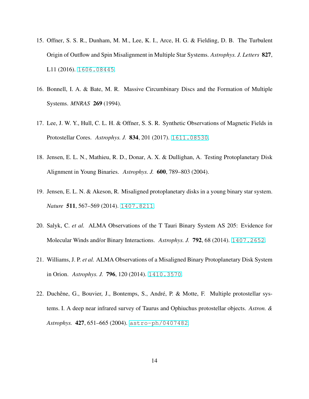- <span id="page-13-1"></span><span id="page-13-0"></span>15. Offner, S. S. R., Dunham, M. M., Lee, K. I., Arce, H. G. & Fielding, D. B. The Turbulent Origin of Outflow and Spin Misalignment in Multiple Star Systems. *Astrophys. J. Letters* 827, L11 (2016). <1606.08445>.
- <span id="page-13-2"></span>16. Bonnell, I. A. & Bate, M. R. Massive Circumbinary Discs and the Formation of Multiple Systems. *MNRAS* 269 (1994).
- <span id="page-13-3"></span>17. Lee, J. W. Y., Hull, C. L. H. & Offner, S. S. R. Synthetic Observations of Magnetic Fields in Protostellar Cores. *Astrophys. J.* 834, 201 (2017). <1611.08530>.
- 18. Jensen, E. L. N., Mathieu, R. D., Donar, A. X. & Dullighan, A. Testing Protoplanetary Disk Alignment in Young Binaries. *Astrophys. J.* 600, 789–803 (2004).
- 19. Jensen, E. L. N. & Akeson, R. Misaligned protoplanetary disks in a young binary star system. *Nature* 511, 567-569 (2014). <1407.8211>.
- <span id="page-13-4"></span>20. Salyk, C. *et al.* ALMA Observations of the T Tauri Binary System AS 205: Evidence for Molecular Winds and/or Binary Interactions. *Astrophys. J.* 792, 68 (2014). <1407.2652>.
- <span id="page-13-5"></span>21. Williams, J. P. *et al.* ALMA Observations of a Misaligned Binary Protoplanetary Disk System in Orion. *Astrophys. J.* 796, 120 (2014). <1410.3570>.
- 22. Duchêne, G., Bouvier, J., Bontemps, S., André, P. & Motte, F. Multiple protostellar systems. I. A deep near infrared survey of Taurus and Ophiuchus protostellar objects. *Astron. & Astrophys.* 427, 651–665 (2004). <astro-ph/0407482>.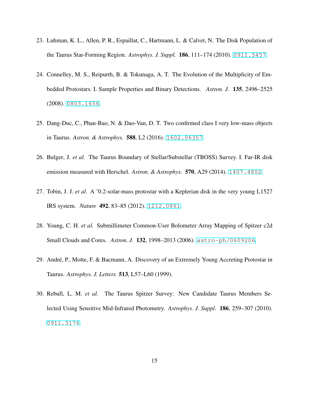- <span id="page-14-1"></span><span id="page-14-0"></span>23. Luhman, K. L., Allen, P. R., Espaillat, C., Hartmann, L. & Calvet, N. The Disk Population of the Taurus Star-Forming Region. *Astrophys. J. Suppl.* 186, 111–174 (2010). <0911.5457>.
- <span id="page-14-2"></span>24. Connelley, M. S., Reipurth, B. & Tokunaga, A. T. The Evolution of the Multiplicity of Embedded Protostars. I. Sample Properties and Binary Detections. *Astron. J.* 135, 2496–2525 (2008). <0803.1656>.
- <span id="page-14-3"></span>25. Dang-Duc, C., Phan-Bao, N. & Dao-Van, D. T. Two confirmed class I very low-mass objects in Taurus. *Astron. & Astrophys.* 588, L2 (2016). <1602.06357>.
- <span id="page-14-4"></span>26. Bulger, J. *et al.* The Taurus Boundary of Stellar/Substellar (TBOSS) Survey. I. Far-IR disk emission measured with Herschel. *Astron. & Astrophys.* 570, A29 (2014). <1407.4802>.
- <span id="page-14-5"></span>27. Tobin, J. J. *et al.* A ˜0.2-solar-mass protostar with a Keplerian disk in the very young L1527 IRS system. *Nature* 492, 83–85 (2012). <1212.0861>.
- <span id="page-14-6"></span>28. Young, C. H. *et al.* Submillimeter Common-User Bolometer Array Mapping of Spitzer c2d Small Clouds and Cores. *Astron. J.* 132, 1998–2013 (2006). <astro-ph/0609206>.
- <span id="page-14-7"></span>29. André, P., Motte, F. & Bacmann, A. Discovery of an Extremely Young Accreting Protostar in Taurus. *Astrophys. J. Letters* 513, L57–L60 (1999).
- 30. Rebull, L. M. *et al.* The Taurus Spitzer Survey: New Candidate Taurus Members Selected Using Sensitive Mid-Infrared Photometry. *Astrophys. J. Suppl.* 186, 259–307 (2010). <0911.3176>.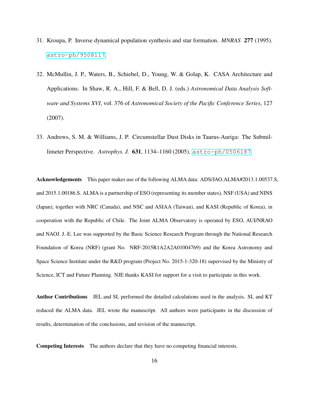- <span id="page-15-1"></span><span id="page-15-0"></span>31. Kroupa, P. Inverse dynamical population synthesis and star formation. *MNRAS* 277 (1995). <astro-ph/9508117>.
- 32. McMullin, J. P., Waters, B., Schiebel, D., Young, W. & Golap, K. CASA Architecture and Applications. In Shaw, R. A., Hill, F. & Bell, D. J. (eds.) *Astronomical Data Analysis Software and Systems XVI*, vol. 376 of *Astronomical Society of the Pacific Conference Series*, 127 (2007).
- <span id="page-15-2"></span>33. Andrews, S. M. & Williams, J. P. Circumstellar Dust Disks in Taurus-Auriga: The Submillimeter Perspective. *Astrophys. J.* 631, 1134–1160 (2005). <astro-ph/0506187>.

Acknowledgements This paper makes use of the following ALMA data: ADS/JAO.ALMA#2013.1.00537.S, and 2015.1.00186.S. ALMA is a partnership of ESO (representing its member states), NSF (USA) and NINS (Japan), together with NRC (Canada), and NSC and ASIAA (Taiwan), and KASI (Republic of Korea), in cooperation with the Republic of Chile. The Joint ALMA Observatory is operated by ESO, AUI/NRAO and NAOJ. J.-E. Lee was supported by the Basic Science Research Program through the National Research Foundation of Korea (NRF) (grant No. NRF-2015R1A2A2A01004769) and the Korea Astronomy and Space Science Institute under the R&D program (Project No. 2015-1-320-18) supervised by the Ministry of Science, ICT and Future Planning. NJE thanks KASI for support for a visit to participate in this work.

Author Contributions JEL and SL performed the detailed calculations used in the analysis. SL and KT reduced the ALMA data. JEL wrote the manuscript. All authors were participants in the discussion of results, determination of the conclusions, and revision of the manuscript.

Competing Interests The authors declare that they have no competing financial interests.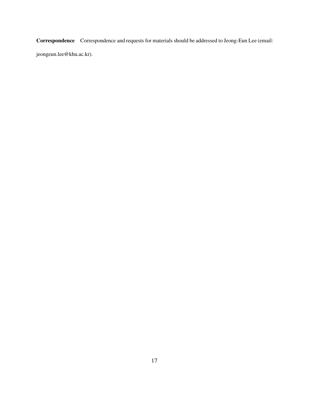Correspondence Correspondence and requests for materials should be addressed to Jeong-Eun Lee (email:

jeongeun.lee@khu.ac.kr).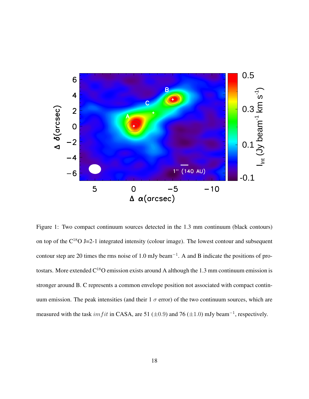

<span id="page-17-0"></span>Figure 1: Two compact continuum sources detected in the 1.3 mm continuum (black contours) on top of the  $C^{18}O$  J=2-1 integrated intensity (colour image). The lowest contour and subsequent contour step are 20 times the rms noise of 1.0 mJy beam<sup>−</sup><sup>1</sup> . A and B indicate the positions of protostars. More extended  $C^{18}O$  emission exists around A although the 1.3 mm continuum emission is stronger around B. C represents a common envelope position not associated with compact continuum emission. The peak intensities (and their 1  $\sigma$  error) of the two continuum sources, which are measured with the task  $imfit$  in CASA, are 51 ( $\pm$ 0.9) and 76 ( $\pm$ 1.0) mJy beam<sup>-1</sup>, respectively.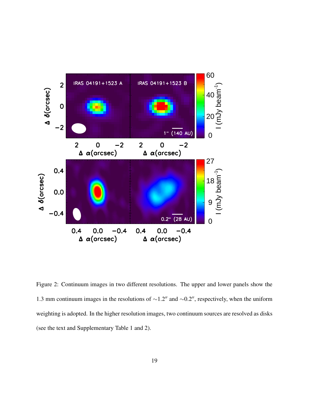

<span id="page-18-0"></span>Figure 2: Continuum images in two different resolutions. The upper and lower panels show the 1.3 mm continuum images in the resolutions of <sup>∼</sup>1.2′′ and <sup>∼</sup>0.2′′, respectively, when the uniform weighting is adopted. In the higher resolution images, two continuum sources are resolved as disks (see the text and Supplementary Table 1 and 2).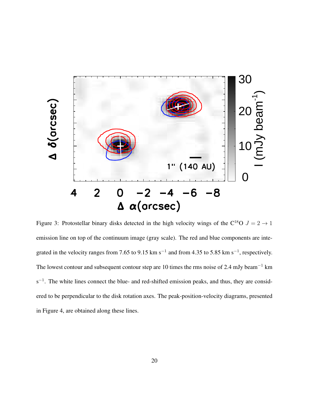

<span id="page-19-0"></span>Figure 3: Protostellar binary disks detected in the high velocity wings of the C<sup>18</sup>O  $J = 2 \rightarrow 1$ emission line on top of the continuum image (gray scale). The red and blue components are integrated in the velocity ranges from 7.65 to 9.15 km s<sup>-1</sup> and from 4.35 to 5.85 km s<sup>-1</sup>, respectively. The lowest contour and subsequent contour step are 10 times the rms noise of 2.4 mJy beam<sup>−</sup><sup>1</sup> km s<sup>-1</sup>. The white lines connect the blue- and red-shifted emission peaks, and thus, they are considered to be perpendicular to the disk rotation axes. The peak-position-velocity diagrams, presented in Figure 4, are obtained along these lines.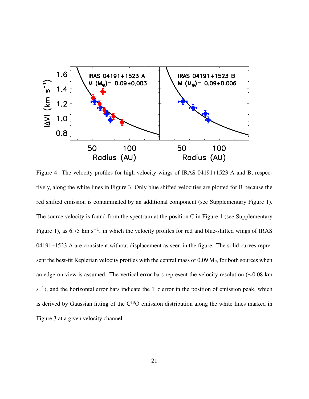

<span id="page-20-0"></span>Figure 4: The velocity profiles for high velocity wings of IRAS 04191+1523 A and B, respectively, along the white lines in Figure 3. Only blue shifted velocities are plotted for B because the red shifted emission is contaminated by an additional component (see Supplementary Figure 1). The source velocity is found from the spectrum at the position C in Figure 1 (see Supplementary Figure 1), as 6.75 km s<sup>-1</sup>, in which the velocity profiles for red and blue-shifted wings of IRAS 04191+1523 A are consistent without displacement as seen in the figure. The solid curves represent the best-fit Keplerian velocity profiles with the central mass of 0.09  $M_{\odot}$  for both sources when an edge-on view is assumed. The vertical error bars represent the velocity resolution (∼0.08 km s<sup>-1</sup>), and the horizontal error bars indicate the 1  $\sigma$  error in the position of emission peak, which is derived by Gaussian fitting of the  $C^{18}O$  emission distribution along the white lines marked in Figure 3 at a given velocity channel.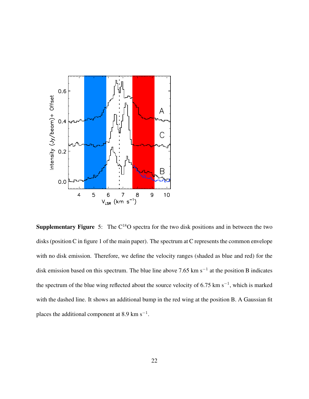

**Supplementary Figure** 5: The  $C^{18}O$  spectra for the two disk positions and in between the two disks (position C in figure 1 of the main paper). The spectrum at C represents the common envelope with no disk emission. Therefore, we define the velocity ranges (shaded as blue and red) for the disk emission based on this spectrum. The blue line above 7.65 km s<sup>-1</sup> at the position B indicates the spectrum of the blue wing reflected about the source velocity of 6.75 km s<sup>-1</sup>, which is marked with the dashed line. It shows an additional bump in the red wing at the position B. A Gaussian fit places the additional component at 8.9 km s<sup> $-1$ </sup>.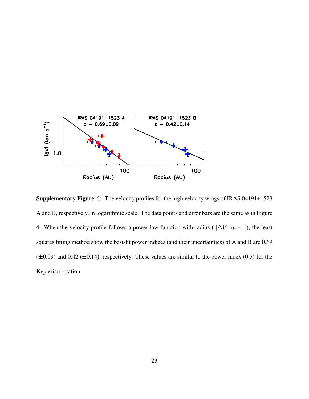

Supplementary Figure 6: The velocity profiles for the high velocity wings of IRAS 04191+1523 A and B, respectively, in logarithmic scale. The data points and error bars are the same as in Figure 4. When the velocity profile follows a power-law function with radius ( $|\Delta V| \propto r^{-b}$ ), the least squares fitting method show the best-fit power indices (and their uncertainties) of A and B are 0.69  $(\pm 0.09)$  and 0.42 ( $\pm 0.14$ ), respectively. These values are similar to the power index (0.5) for the Keplerian rotation.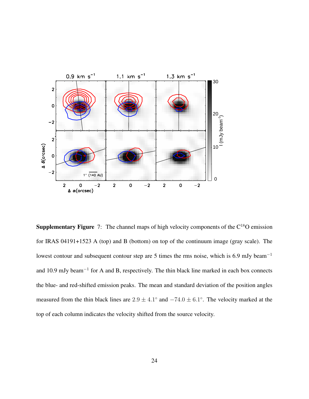

**Supplementary Figure** 7: The channel maps of high velocity components of the  $C^{18}O$  emission for IRAS 04191+1523 A (top) and B (bottom) on top of the continuum image (gray scale). The lowest contour and subsequent contour step are 5 times the rms noise, which is 6.9 mJy beam<sup>−</sup><sup>1</sup> and 10.9 mJy beam<sup>-1</sup> for A and B, respectively. The thin black line marked in each box connects the blue- and red-shifted emission peaks. The mean and standard deviation of the position angles measured from the thin black lines are  $2.9 \pm 4.1^{\circ}$  and  $-74.0 \pm 6.1^{\circ}$ . The velocity marked at the top of each column indicates the velocity shifted from the source velocity.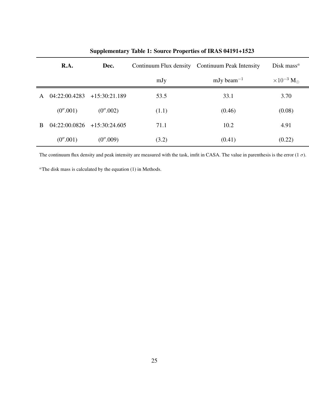|              | R.A.          | Dec.            |       | Continuum Flux density Continuum Peak Intensity | Disk mass <sup><math>a</math></sup> |
|--------------|---------------|-----------------|-------|-------------------------------------------------|-------------------------------------|
|              |               |                 | mJy   | mJy beam <sup><math>-1</math></sup>             | $\times 10^{-3}$ M <sub>o</sub>     |
| A            | 04:22:00.4283 | $+15:30:21.189$ | 53.5  | 33.1                                            | 3.70                                |
|              | (0''.001)     | (0''.002)       | (1.1) | (0.46)                                          | (0.08)                              |
| <sub>R</sub> | 04:22:00.0826 | $+15:30:24.605$ | 71.1  | 10.2                                            | 4.91                                |
|              | (0''.001)     | (0''.009)       | (3.2) | (0.41)                                          | (0.22)                              |

# Supplementary Table 1: Source Properties of IRAS 04191+1523

The continuum flux density and peak intensity are measured with the task, imfit in CASA. The value in parenthesis is the error  $(1 \sigma)$ .

 $^{\alpha}$ The disk mass is calculated by the equation (1) in Methods.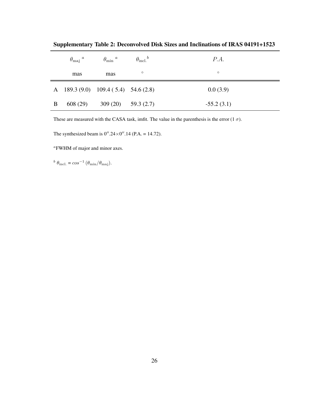|   | $\theta_{\rm maj}$ <sup>a</sup> | $\theta_{\rm min}$ $^a$                 | $\theta_{\rm incl.}^{\quad b}$ | P.A.         |
|---|---------------------------------|-----------------------------------------|--------------------------------|--------------|
|   | mas                             | mas                                     | $\circ$                        | $\circ$      |
|   |                                 | A $189.3(9.0)$ $109.4(5.4)$ $54.6(2.8)$ |                                | 0.0(3.9)     |
| B | 608 (29)                        | $309(20)$ $59.3(2.7)$                   |                                | $-55.2(3.1)$ |

Supplementary Table 2: Deconvolved Disk Sizes and Inclinations of IRAS 04191+1523

These are measured with the CASA task, imfit. The value in the parenthesis is the error  $(1 \sigma)$ .

The synthesized beam is  $0''.24 \times 0''.14$  (P.A. = 14.72).

<sup>a</sup>FWHM of major and minor axes.

<sup>b</sup>  $\theta_{\text{incl.}} = \cos^{-1}(\theta_{\text{min}}/\theta_{\text{maj}}).$